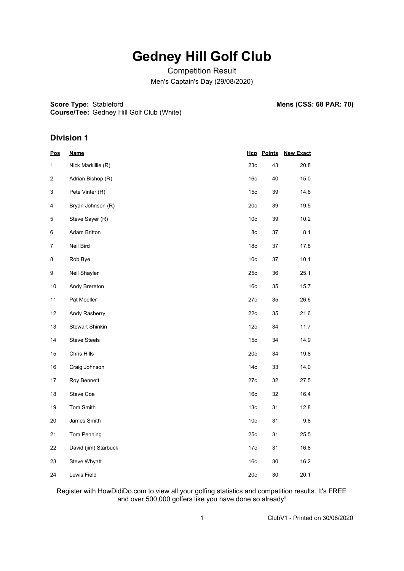Competition Result Men's Captain's Day (29/08/2020)

**Score Type: Stableford** 

**Mens (CSS: 68 PAR: 70)** 

**Course/Tee:** Gedney Hill Golf Club (White)

#### **Division 1**

| <u>Pos</u>  | <u>Name</u>            |                 | <b>Hcp</b> Points | <b>New Exact</b> |
|-------------|------------------------|-----------------|-------------------|------------------|
| 1           | Nick Markillie (R)     | 23c             | 43                | 20.8             |
| 2           | Adrian Bishop (R)      | 16 <sub>c</sub> | 40                | 15.0             |
| 3           | Pete Vinter (R)        | 15 <sub>c</sub> | 39                | 14.6             |
| 4           | Bryan Johnson (R)      | 20c             | 39                | 19.5             |
| $\mathbf 5$ | Steve Sayer (R)        | 10 <sub>c</sub> | 39                | 10.2             |
| 6           | Adam Britton           | 8c              | 37                | 8.1              |
| 7           | Neil Bird              | 18c             | 37                | 17.8             |
| 8           | Rob Bye                | 10 <sub>c</sub> | 37                | 10.1             |
| 9           | Neil Shayler           | 25c             | 36                | 25.1             |
| 10          | Andy Brereton          | 16 <sub>c</sub> | 35                | 15.7             |
| 11          | Pat Moeller            | 27c             | 35                | 26.6             |
| 12          | Andy Rasberry          | 22c             | 35                | 21.6             |
| 13          | <b>Stewart Shinkin</b> | 12c             | 34                | 11.7             |
| 14          | <b>Steve Steels</b>    | 15c             | 34                | 14.9             |
| 15          | Chris Hills            | 20c             | 34                | 19.8             |
| 16          | Craig Johnson          | 14 <sub>c</sub> | 33                | 14.0             |
| 17          | Roy Bennett            | 27c             | 32                | 27.5             |
| 18          | Steve Coe              | 16c             | 32                | 16.4             |
| 19          | Tom Smith              | 13 <sub>c</sub> | 31                | 12.8             |
| 20          | James Smith            | 10 <sub>c</sub> | 31                | 9.8              |
| 21          | Tom Penning            | 25c             | 31                | 25.5             |
| 22          | David (jim) Starbuck   | 17c             | 31                | 16.8             |
| 23          | Steve Whyatt           | 16c             | 30                | 16.2             |
| 24          | Lewis Field            | 20c             | $30\,$            | 20.1             |

Register with HowDidiDo.com to view all your golfing statistics and competition results. It's FREE and over 500,000 golfers like you have done so already!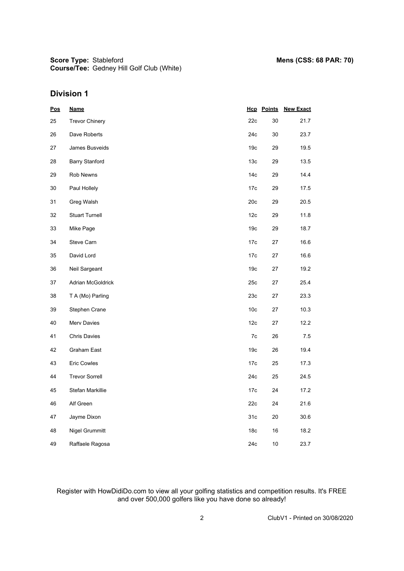**Score Type: Course/Tee:** Gedney Hill Golf Club (White)

### **Division 1**

| <u>Pos</u> | <b>Name</b>           |                 | <b>Hcp</b> Points | <b>New Exact</b> |
|------------|-----------------------|-----------------|-------------------|------------------|
| 25         | <b>Trevor Chinery</b> | 22c             | 30                | 21.7             |
| 26         | Dave Roberts          | 24c             | 30                | 23.7             |
| 27         | James Busveids        | 19 <sub>c</sub> | 29                | 19.5             |
| 28         | <b>Barry Stanford</b> | 13 <sub>c</sub> | 29                | 13.5             |
| 29         | Rob Newns             | 14 <sub>c</sub> | 29                | 14.4             |
| 30         | Paul Hollely          | 17c             | 29                | 17.5             |
| 31         | Greg Walsh            | 20c             | 29                | 20.5             |
| 32         | <b>Stuart Turnell</b> | 12c             | 29                | 11.8             |
| 33         | Mike Page             | 19 <sub>c</sub> | 29                | 18.7             |
| 34         | Steve Carn            | 17c             | 27                | 16.6             |
| 35         | David Lord            | 17c             | 27                | 16.6             |
| 36         | Neil Sargeant         | 19 <sub>c</sub> | 27                | 19.2             |
| 37         | Adrian McGoldrick     | 25c             | 27                | 25.4             |
| 38         | T A (Mo) Parling      | 23c             | 27                | 23.3             |
| 39         | Stephen Crane         | 10 <sub>c</sub> | 27                | 10.3             |
| 40         | Merv Davies           | 12c             | 27                | 12.2             |
| 41         | Chris Davies          | 7c              | 26                | 7.5              |
| 42         | Graham East           | 19 <sub>c</sub> | 26                | 19.4             |
| 43         | <b>Eric Cowles</b>    | 17c             | 25                | 17.3             |
| 44         | <b>Trevor Sorrell</b> | 24c             | 25                | 24.5             |
| 45         | Stefan Markillie      | 17c             | 24                | 17.2             |
| 46         | Alf Green             | 22c             | 24                | 21.6             |
| 47         | Jayme Dixon           | 31c             | 20                | 30.6             |
| 48         | Nigel Grummitt        | 18 <sub>c</sub> | 16                | 18.2             |
| 49         | Raffaele Ragosa       | 24c             | 10                | 23.7             |

Register with HowDidiDo.com to view all your golfing statistics and competition results. It's FREE and over 500,000 golfers like you have done so already!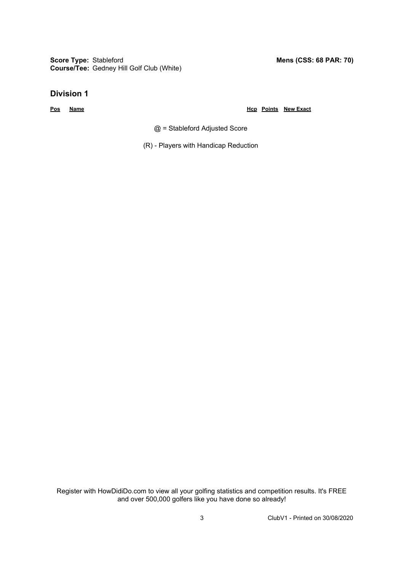**Score Type: Course/Tee:** Gedney Hill Golf Club (White)

#### **Division 1**

**Pos Name Hcp Points New Exact**

@ = Stableford Adjusted Score

(R) - Players with Handicap Reduction

Register with HowDidiDo.com to view all your golfing statistics and competition results. It's FREE and over 500,000 golfers like you have done so already!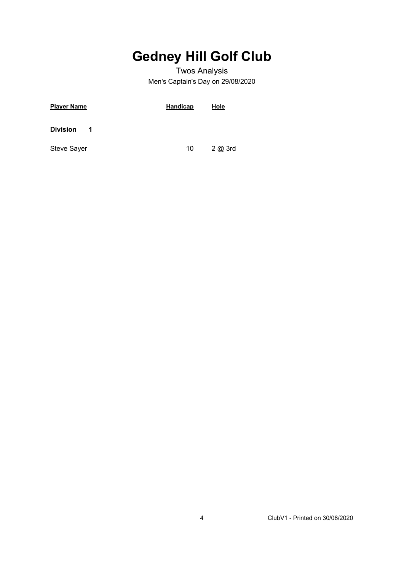### Twos Analysis Men's Captain's Day on 29/08/2020

| <u>Player Name</u>   | <b>Handicap</b> | Hole  |
|----------------------|-----------------|-------|
| <b>Division</b><br>1 |                 |       |
| Steve Sayer          | 10              | 2@3rd |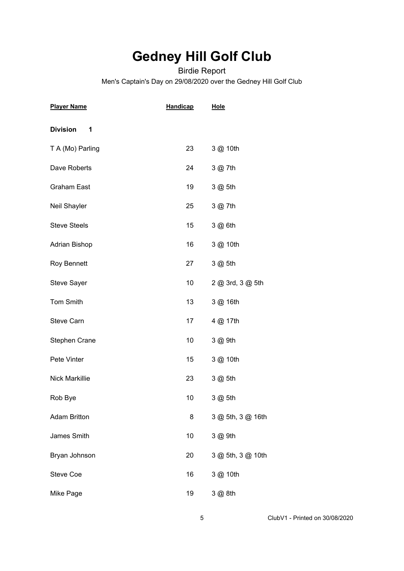### Birdie Report Men's Captain's Day on 29/08/2020 over the Gedney Hill Golf Club

| <b>Player Name</b>    | <u>Handicap</u> | <u>Hole</u>       |
|-----------------------|-----------------|-------------------|
| <b>Division</b><br>1  |                 |                   |
| T A (Mo) Parling      | 23              | 3 @ 10th          |
| Dave Roberts          | 24              | 3 @ 7th           |
| <b>Graham East</b>    | 19              | 3 @ 5th           |
| Neil Shayler          | 25              | 3 @ 7th           |
| <b>Steve Steels</b>   | 15              | 3 @ 6th           |
| <b>Adrian Bishop</b>  | 16              | 3 @ 10th          |
| <b>Roy Bennett</b>    | 27              | 3 @ 5th           |
| Steve Sayer           | 10              | 2 @ 3rd, 3 @ 5th  |
| Tom Smith             | 13              | 3 @ 16th          |
| Steve Carn            | 17              | 4 @ 17th          |
| Stephen Crane         | 10              | 3 @ 9th           |
| Pete Vinter           | 15              | 3 @ 10th          |
| <b>Nick Markillie</b> | 23              | 3 @ 5th           |
| Rob Bye               | 10              | 3 @ 5th           |
| <b>Adam Britton</b>   | 8               | 3 @ 5th, 3 @ 16th |
| James Smith           | 10              | 3 @ 9th           |
| Bryan Johnson         | 20              | 3 @ 5th, 3 @ 10th |
| Steve Coe             | 16              | 3 @ 10th          |
| Mike Page             | 19              | 3 @ 8th           |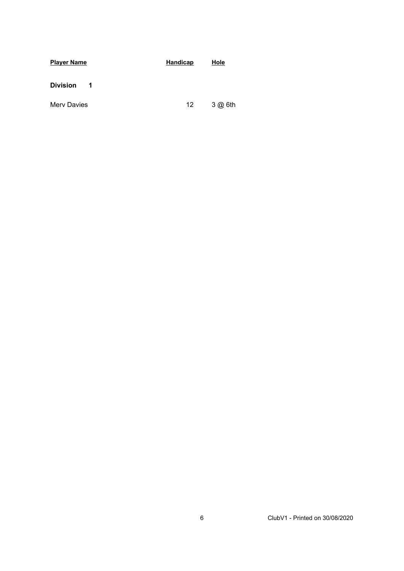| <b>Player Name</b>   | <b>Handicap</b> | Hole    |  |  |  |  |
|----------------------|-----------------|---------|--|--|--|--|
| <b>Division</b><br>1 |                 |         |  |  |  |  |
| <b>Merv Davies</b>   | 12              | 3 @ 6th |  |  |  |  |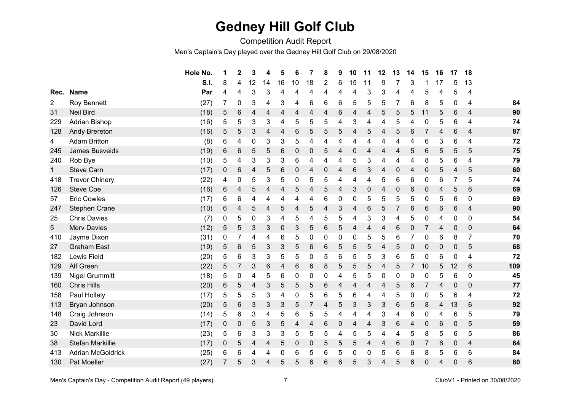Competition Audit Report

Men's Captain's Day played over the Gedney Hill Golf Club on 29/08/2020

|                |                          | Hole No. | 1              | $\mathbf 2$    | 3  | 4               | 5  | 6              | 7  | 8 | 9 | 10 | 11 | 12 | 13             | 14 | 15           | 16 | 17              | 18              |     |
|----------------|--------------------------|----------|----------------|----------------|----|-----------------|----|----------------|----|---|---|----|----|----|----------------|----|--------------|----|-----------------|-----------------|-----|
|                |                          | S.I.     | 8              | 4              | 12 | 14              | 16 | 10             | 18 | 2 | 6 | 15 | 11 | 9  |                | 3  |              | 17 | 5               | 13              |     |
| Rec.           | <b>Name</b>              | Par      | 4              | 4              | 3  | 3               | 4  | 4              | 4  | 4 | 4 | 4  | 3  | 3  | 4              | 4  | 5            | 4  | 5               | 4               |     |
| $\overline{2}$ | Roy Bennett              | (27)     | $\overline{7}$ | 0              | 3  | 4               | 3  | $\overline{4}$ | 6  | 6 | 6 | 5  | 5  | 5  | $\overline{7}$ | 6  | 8            | 5  | $\mathbf 0$     | $\overline{4}$  | 84  |
| 31             | <b>Neil Bird</b>         | (18)     | 5              | 6              | 4  | 4               | 4  | 4              | 4  | 4 | 6 | 4  | 4  | 5  | 5              | 5  | 11           | 5  | 6               | $\overline{4}$  | 90  |
| 229            | Adrian Bishop            | (16)     | 5              | 5              | 3  | 3               | 4  | 5              | 5  | 5 | 4 | 3  | 4  | 4  | 5              | 4  | 0            | 5  | 6               | 4               | 74  |
| 128            | <b>Andy Brereton</b>     | (16)     | 5              | 5              | 3  | 4               | 4  | 6              | 5  | 5 | 5 | 4  | 5  | 4  | 5              | 6  | 7            | 4  | 6               | 4               | 87  |
| 4              | <b>Adam Britton</b>      | (8)      | 6              | 4              | 0  | 3               | 3  | 5              | 4  | 4 | 4 | 4  | 4  | 4  | 4              | 4  | 6            | 3  | $\,6$           | 4               | 72  |
| 245            | James Busveids           | (19)     | 6              | 6              | 5  | 5               | 6  | $\pmb{0}$      | 0  | 5 | 4 | 0  | 4  | 4  | 4              | 5  | 6            | 5  | 5               | 5               | 75  |
| 240            | Rob Bye                  | (10)     | 5              | 4              | 3  | $\mathbf{3}$    | 3  | 6              | 4  | 4 | 4 | 5  | 3  | 4  | 4              | 4  | 8            | 5  | $\,6$           | 4               | 79  |
| $\mathbf{1}$   | <b>Steve Carn</b>        | (17)     | 0              | 6              | 4  | 5               | 6  | $\mathbf 0$    | 4  | 0 | 4 | 6  | 3  | 4  | $\mathbf 0$    | 4  | $\mathbf 0$  | 5  | $\overline{4}$  | 5               | 60  |
| 418            | <b>Trevor Chinery</b>    | (22)     | 4              | 0              | 5  | 3               | 5  | 0              | 5  | 5 | 4 | 4  | 4  | 5  | 6              | 6  | 0            | 6  |                 | 5               | 74  |
| 126            | <b>Steve Coe</b>         | (16)     | 6              | 4              | 5  | 4               | 4  | 5              | 4  | 5 | 4 | 3  | 0  | 4  | 0              | 6  | 0            | 4  | 5               | $6\phantom{1}6$ | 69  |
| 57             | <b>Eric Cowles</b>       | (17)     | 6              | 6              | 4  | 4               | 4  | 4              | 4  | 6 | 0 | 0  | 5  | 5  | 5              | 5  | 0            | 5  | 6               | $\mathbf 0$     | 69  |
| 247            | <b>Stephen Crane</b>     | (10)     | 6              | 4              | 5  | 4               | 5  | 4              | 5  | 4 | 3 | 4  | 6  | 5  | $\overline{7}$ | 6  | 6            | 6  | 6               | $\overline{4}$  | 90  |
| 25             | <b>Chris Davies</b>      | (7)      | 0              | 5              | 0  | 3               | 4  | 5              | 4  | 5 | 5 | 4  | 3  | 3  | 4              | 5  | 0            | 4  | $\mathbf 0$     | $\mathbf 0$     | 54  |
| 5              | <b>Merv Davies</b>       | (12)     | 5              | 5              | 3  | 3               | 0  | 3              | 5  | 6 | 5 | 4  | 4  | 4  | 6              | 0  | 7            | 4  | $\mathbf 0$     | $\mathbf 0$     | 64  |
| 410            | Jayme Dixon              | (31)     | 0              | 7              | 4  | 4               | 6  | 5              | 0  | 0 | 0 | 0  | 5  | 5  | 6              | 7  | 0            | 6  | 8               | $\overline{7}$  | 70  |
| 27             | <b>Graham East</b>       | (19)     | 5              | 6              | 5  | 3               | 3  | 5              | 6  | 6 | 5 | 5  | 5  | 4  | 5              | 0  | 0            | 0  | $\mathbf 0$     | 5               | 68  |
| 182            | Lewis Field              | (20)     | 5              | 6              | 3  | 3               | 5  | 5              | 0  | 5 | 6 | 5  | 5  | 3  | 6              | 5  | 0            | 6  | $\mathbf 0$     | 4               | 72  |
| 129            | Alf Green                | (22)     | 5              | $\overline{7}$ | 3  | $6\phantom{1}6$ | 4  | 6              | 6  | 8 | 5 | 5  | 5  | 4  | 5              | 7  | 10           | 5  | 12              | 6               | 109 |
| 139            | <b>Nigel Grummitt</b>    | (18)     | 5              | 0              | 4  | 5               | 6  | 0              | 0  | 0 | 4 | 5  | 5  | 0  | $\mathbf 0$    | 0  | 0            | 5  | $\,6$           | $\mathbf 0$     | 45  |
| 160            | <b>Chris Hills</b>       | (20)     | 6              | 5              | 4  | 3               | 5  | 5              | 5  | 6 | 4 | 4  | 4  | 4  | 5              | 6  | 7            | 4  | $\mathbf 0$     | $\mathbf 0$     | 77  |
| 158            | Paul Hollely             | (17)     | 5              | 5              | 5  | 3               | 4  | 0              | 5  | 6 | 5 | 6  | 4  | 4  | 5              | 0  | 0            | 5  | $6\phantom{1}6$ | 4               | 72  |
| 113            | Bryan Johnson            | (20)     | 5              | 6              | 3  | 3               | 3  | 5              | 7  | 4 | 5 | 3  | 3  | 3  | 6              | 5  | 8            | 4  | 13              | 6               | 92  |
| 148            | Craig Johnson            | (14)     | 5              | 6              | 3  | 4               | 5  | 6              | 5  | 5 | 4 | 4  | 4  | 3  | 4              | 6  | 0            | 4  | 6               | 5               | 79  |
| 23             | David Lord               | (17)     | 0              | 0              | 5  | 3               | 5  | 4              | 4  | 6 | 0 | 4  | 4  | 3  | 6              | 4  | $\mathbf 0$  | 6  | $\mathbf 0$     | 5               | 59  |
| 30             | <b>Nick Markillie</b>    | (23)     | 5              | 6              | 3  | 3               | 3  | 5              | 5  | 5 | 4 | 5  | 5  | 4  | 4              | 5  | 8            | 5  | $6\phantom{1}6$ | 5               | 86  |
| 38             | Stefan Markillie         | (17)     | 0              | 5              | 4  | 4               | 5  | 0              | 0  | 5 | 5 | 5  | 4  | 4  | 6              | 0  | 7            | 6  | $\mathbf 0$     | 4               | 64  |
| 413            | <b>Adrian McGoldrick</b> | (25)     | 6              | 6              | 4  | 4               | 0  | 6              | 5  | 6 | 5 | 0  | 0  | 5  | 6              | 6  | 8            | 5  | 6               | $6\phantom{1}6$ | 84  |
| 130            | <b>Pat Moeller</b>       | (27)     | $\overline{7}$ | 5              | 3  | 4               | 5  | 5              | 6  | 6 | 6 | 5  | 3  | 4  | 5              | 6  | $\mathbf{0}$ | 4  | 0               | 6               | 80  |